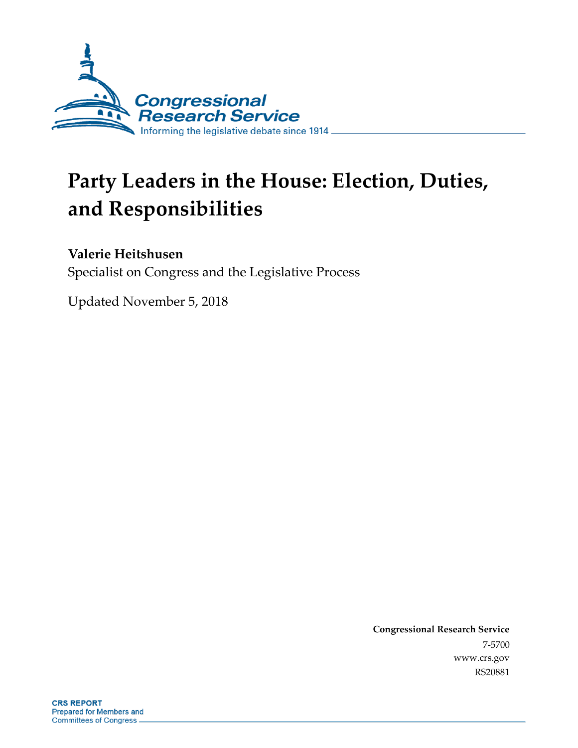

# **Party Leaders in the House: Election, Duties, and Responsibilities**

#### **Valerie Heitshusen**

Specialist on Congress and the Legislative Process

Updated November 5, 2018

**Congressional Research Service** 7-5700 www.crs.gov RS20881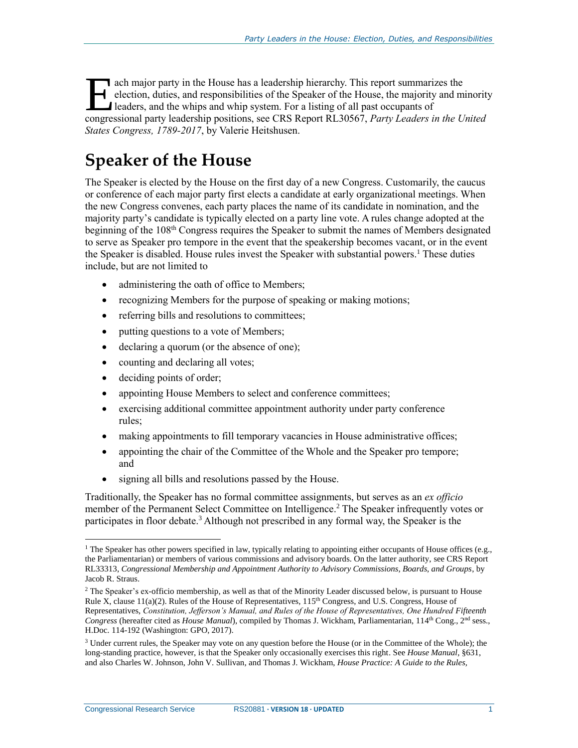ach major party in the House has a leadership hierarchy. This report summarizes the election, duties, and responsibilities of the Speaker of the House, the majority and minority leaders, and the whips and whip system. For a listing of all past occupants of ach major party in the House has a leadership hierarchy. This report summarizes the election, duties, and responsibilities of the Speaker of the House, the majority and minority leaders, and the whips and whip system. For *States Congress, 1789-2017*, by Valerie Heitshusen.

### **Speaker of the House**

The Speaker is elected by the House on the first day of a new Congress. Customarily, the caucus or conference of each major party first elects a candidate at early organizational meetings. When the new Congress convenes, each party places the name of its candidate in nomination, and the majority party's candidate is typically elected on a party line vote. A rules change adopted at the beginning of the 108<sup>th</sup> Congress requires the Speaker to submit the names of Members designated to serve as Speaker pro tempore in the event that the speakership becomes vacant, or in the event the Speaker is disabled. House rules invest the Speaker with substantial powers.<sup>1</sup> These duties include, but are not limited to

- administering the oath of office to Members;
- recognizing Members for the purpose of speaking or making motions;
- referring bills and resolutions to committees;
- putting questions to a vote of Members;
- declaring a quorum (or the absence of one);
- counting and declaring all votes;
- deciding points of order;
- appointing House Members to select and conference committees;
- exercising additional committee appointment authority under party conference rules;
- making appointments to fill temporary vacancies in House administrative offices;
- appointing the chair of the Committee of the Whole and the Speaker pro tempore; and
- signing all bills and resolutions passed by the House.

Traditionally, the Speaker has no formal committee assignments, but serves as an *ex officio* member of the Permanent Select Committee on Intelligence.<sup>2</sup> The Speaker infrequently votes or participates in floor debate.<sup>3</sup> Although not prescribed in any formal way, the Speaker is the

Congressional Research Service RS20881 **· VERSION 18 · UPDATED** 1

 $\overline{a}$ 

<sup>&</sup>lt;sup>1</sup> The Speaker has other powers specified in law, typically relating to appointing either occupants of House offices (e.g., the Parliamentarian) or members of various commissions and advisory boards. On the latter authority, see CRS Report RL33313, *Congressional Membership and Appointment Authority to Advisory Commissions, Boards, and Groups*, by Jacob R. Straus.

<sup>&</sup>lt;sup>2</sup> The Speaker's ex-officio membership, as well as that of the Minority Leader discussed below, is pursuant to House Rule X, clause 11(a)(2). Rules of the House of Representatives, 115<sup>th</sup> Congress, and U.S. Congress, House of Representatives, *Constitution, Jefferson's Manual, and Rules of the House of Representatives, One Hundred Fifteenth* Congress (hereafter cited as *House Manual*), compiled by Thomas J. Wickham, Parliamentarian, 114<sup>th</sup> Cong., 2<sup>nd</sup> sess., H.Doc. 114-192 (Washington: GPO, 2017).

 $3$  Under current rules, the Speaker may vote on any question before the House (or in the Committee of the Whole); the long-standing practice, however, is that the Speaker only occasionally exercises this right. See *House Manual*, §631, and also Charles W. Johnson, John V. Sullivan, and Thomas J. Wickham, *House Practice: A Guide to the Rules,*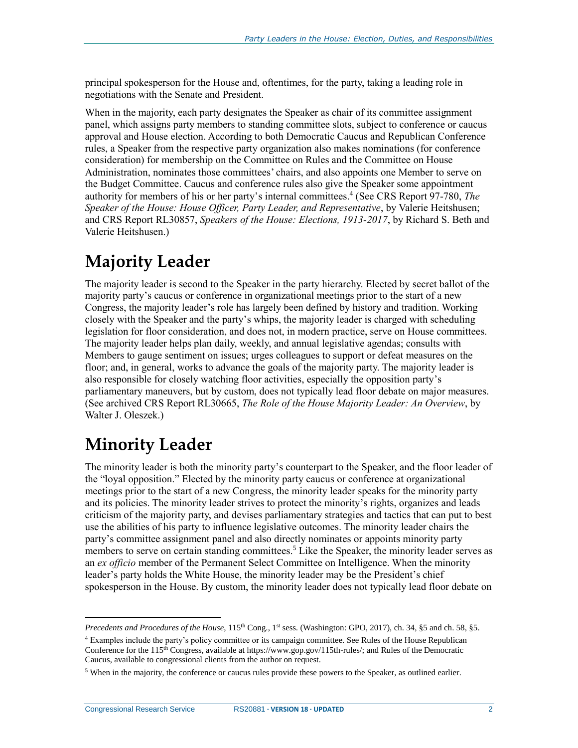principal spokesperson for the House and, oftentimes, for the party, taking a leading role in negotiations with the Senate and President.

When in the majority, each party designates the Speaker as chair of its committee assignment panel, which assigns party members to standing committee slots, subject to conference or caucus approval and House election. According to both Democratic Caucus and Republican Conference rules, a Speaker from the respective party organization also makes nominations (for conference consideration) for membership on the Committee on Rules and the Committee on House Administration, nominates those committees' chairs, and also appoints one Member to serve on the Budget Committee. Caucus and conference rules also give the Speaker some appointment authority for members of his or her party's internal committees.<sup>4</sup> (See CRS Report 97-780, The *Speaker of the House: House Officer, Party Leader, and Representative*, by Valerie Heitshusen; and CRS Report RL30857, *Speakers of the House: Elections, 1913-2017*, by Richard S. Beth and Valerie Heitshusen.)

### **Majority Leader**

The majority leader is second to the Speaker in the party hierarchy. Elected by secret ballot of the majority party's caucus or conference in organizational meetings prior to the start of a new Congress, the majority leader's role has largely been defined by history and tradition. Working closely with the Speaker and the party's whips, the majority leader is charged with scheduling legislation for floor consideration, and does not, in modern practice, serve on House committees. The majority leader helps plan daily, weekly, and annual legislative agendas; consults with Members to gauge sentiment on issues; urges colleagues to support or defeat measures on the floor; and, in general, works to advance the goals of the majority party. The majority leader is also responsible for closely watching floor activities, especially the opposition party's parliamentary maneuvers, but by custom, does not typically lead floor debate on major measures. (See archived CRS Report RL30665, *The Role of the House Majority Leader: An Overview*, by Walter J. Oleszek.)

### **Minority Leader**

The minority leader is both the minority party's counterpart to the Speaker, and the floor leader of the "loyal opposition." Elected by the minority party caucus or conference at organizational meetings prior to the start of a new Congress, the minority leader speaks for the minority party and its policies. The minority leader strives to protect the minority's rights, organizes and leads criticism of the majority party, and devises parliamentary strategies and tactics that can put to best use the abilities of his party to influence legislative outcomes. The minority leader chairs the party's committee assignment panel and also directly nominates or appoints minority party members to serve on certain standing committees.<sup>5</sup> Like the Speaker, the minority leader serves as an *ex officio* member of the Permanent Select Committee on Intelligence. When the minority leader's party holds the White House, the minority leader may be the President's chief spokesperson in the House. By custom, the minority leader does not typically lead floor debate on

 $\overline{a}$ 

*Precedents and Procedures of the House*, 115<sup>th</sup> Cong., 1<sup>st</sup> sess. (Washington: GPO, 2017), ch. 34, §5 and ch. 58, §5.

<sup>4</sup> Examples include the party's policy committee or its campaign committee. See Rules of the House Republican Conference for the 115<sup>th</sup> Congress, available at https://www.gop.gov/115th-rules/; and Rules of the Democratic Caucus, available to congressional clients from the author on request.

 $<sup>5</sup>$  When in the majority, the conference or caucus rules provide these powers to the Speaker, as outlined earlier.</sup>